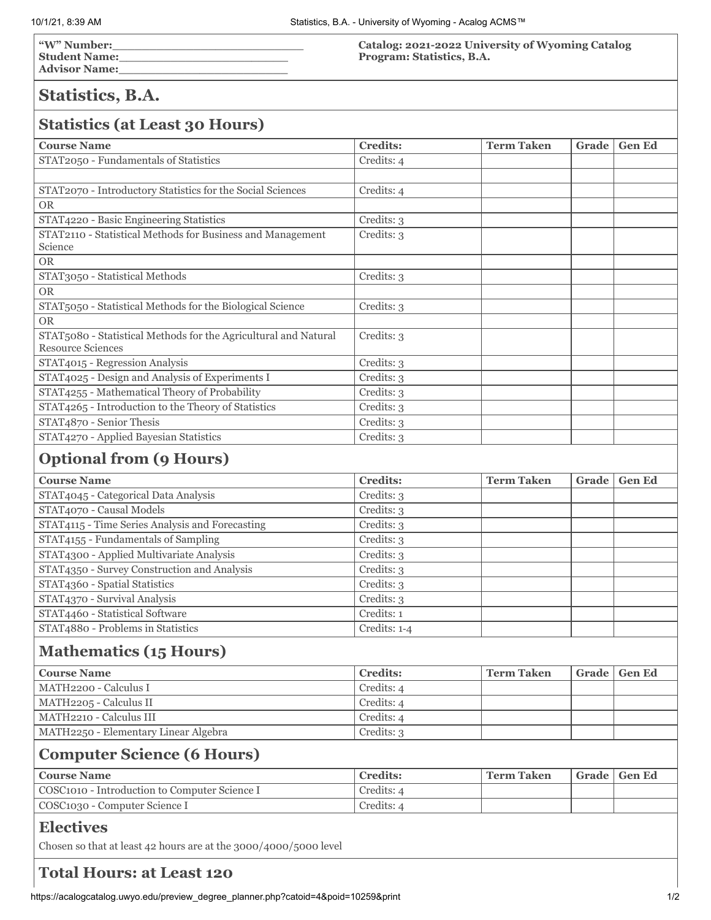**"W" Number:\_\_\_\_\_\_\_\_\_\_\_\_\_\_\_\_\_\_\_\_\_\_\_\_\_\_ Student Name:\_\_\_\_\_\_\_\_\_\_\_\_\_\_\_\_\_\_\_\_\_\_\_ Advisor Name:\_\_\_\_\_\_\_\_\_\_\_\_\_\_\_\_\_\_\_\_\_\_\_**

**Catalog: 2021-2022 University of Wyoming Catalog Program: Statistics, B.A.**

## **Statistics, B.A.**

# **Statistics (at Least 30 Hours)**

| $\sigma$ (di Least) of Hours,                                    |                 |                   |       |               |
|------------------------------------------------------------------|-----------------|-------------------|-------|---------------|
| <b>Course Name</b>                                               | <b>Credits:</b> | <b>Term Taken</b> | Grade | <b>Gen Ed</b> |
| STAT2050 - Fundamentals of Statistics                            | Credits: 4      |                   |       |               |
|                                                                  |                 |                   |       |               |
| STAT2070 - Introductory Statistics for the Social Sciences       | Credits: 4      |                   |       |               |
| <b>OR</b>                                                        |                 |                   |       |               |
| STAT4220 - Basic Engineering Statistics                          | Credits: 3      |                   |       |               |
| STAT2110 - Statistical Methods for Business and Management       | Credits: 3      |                   |       |               |
| Science                                                          |                 |                   |       |               |
| <b>OR</b>                                                        |                 |                   |       |               |
| STAT3050 - Statistical Methods                                   | Credits: 3      |                   |       |               |
| <b>OR</b>                                                        |                 |                   |       |               |
| STAT5050 - Statistical Methods for the Biological Science        | Credits: 3      |                   |       |               |
| <b>OR</b>                                                        |                 |                   |       |               |
| STAT5080 - Statistical Methods for the Agricultural and Natural  | Credits: 3      |                   |       |               |
| <b>Resource Sciences</b>                                         |                 |                   |       |               |
| STAT4015 - Regression Analysis                                   | Credits: 3      |                   |       |               |
| STAT4025 - Design and Analysis of Experiments I                  | Credits: 3      |                   |       |               |
| STAT4255 - Mathematical Theory of Probability                    | Credits: 3      |                   |       |               |
| STAT4265 - Introduction to the Theory of Statistics              | Credits: 3      |                   |       |               |
| STAT4870 - Senior Thesis                                         | Credits: 3      |                   |       |               |
| STAT4270 - Applied Bayesian Statistics                           | Credits: 3      |                   |       |               |
| <b>Optional from (9 Hours)</b>                                   |                 |                   |       |               |
| <b>Course Name</b>                                               | <b>Credits:</b> | <b>Term Taken</b> | Grade | <b>Gen Ed</b> |
| STAT4045 - Categorical Data Analysis                             | Credits: 3      |                   |       |               |
| STAT4070 - Causal Models                                         | Credits: 3      |                   |       |               |
| STAT4115 - Time Series Analysis and Forecasting                  | Credits: 3      |                   |       |               |
| STAT4155 - Fundamentals of Sampling                              | Credits: 3      |                   |       |               |
| STAT4300 - Applied Multivariate Analysis                         | Credits: 3      |                   |       |               |
| STAT4350 - Survey Construction and Analysis                      | Credits: 3      |                   |       |               |
| STAT4360 - Spatial Statistics                                    | Credits: 3      |                   |       |               |
| STAT4370 - Survival Analysis                                     | Credits: 3      |                   |       |               |
| STAT4460 - Statistical Software                                  | Credits: 1      |                   |       |               |
| STAT4880 - Problems in Statistics                                | Credits: 1-4    |                   |       |               |
| <b>Mathematics (15 Hours)</b>                                    |                 |                   |       |               |
| <b>Course Name</b>                                               | <b>Credits:</b> | <b>Term Taken</b> | Grade | <b>Gen Ed</b> |
| MATH2200 - Calculus I                                            | Credits: 4      |                   |       |               |
| MATH2205 - Calculus II                                           | Credits: 4      |                   |       |               |
| MATH2210 - Calculus III                                          | Credits: 4      |                   |       |               |
| MATH2250 - Elementary Linear Algebra                             | Credits: 3      |                   |       |               |
|                                                                  |                 |                   |       |               |
| <b>Computer Science (6 Hours)</b>                                |                 |                   |       |               |
| <b>Course Name</b>                                               | <b>Credits:</b> | <b>Term Taken</b> | Grade | <b>Gen Ed</b> |
| COSC1010 - Introduction to Computer Science I                    | Credits: 4      |                   |       |               |
| COSC1030 - Computer Science I                                    | Credits: 4      |                   |       |               |
| <b>Electives</b>                                                 |                 |                   |       |               |
| Chosen so that at least 42 hours are at the 3000/4000/5000 level |                 |                   |       |               |

## **Total Hours: at Least 120**